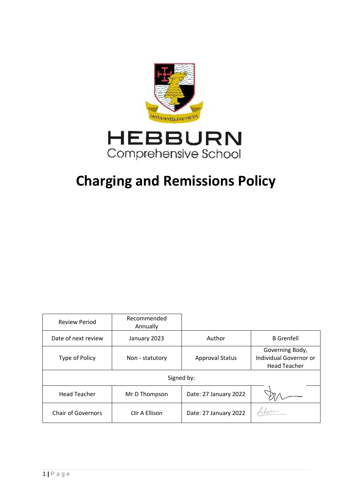

# **Charging and Remissions Policy**

| <b>Review Period</b>      | Recommended<br>Annually |                        |                                                                  |
|---------------------------|-------------------------|------------------------|------------------------------------------------------------------|
| Date of next review       | January 2023            | Author                 | <b>B</b> Grenfell                                                |
| Type of Policy            | Non - statutory         | <b>Approval Status</b> | Governing Body,<br>Individual Governor or<br><b>Head Teacher</b> |
| Signed by:                |                         |                        |                                                                  |
| <b>Head Teacher</b>       | Mr D Thompson           | Date: 27 January 2022  |                                                                  |
| <b>Chair of Governors</b> | Cllr A Ellison          | Date: 27 January 2022  | Adam                                                             |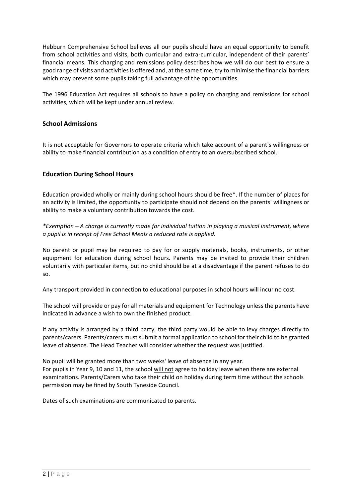Hebburn Comprehensive School believes all our pupils should have an equal opportunity to benefit from school activities and visits, both curricular and extra-curricular, independent of their parents' financial means. This charging and remissions policy describes how we will do our best to ensure a good range of visits and activities is offered and, at the same time, try to minimise the financial barriers which may prevent some pupils taking full advantage of the opportunities.

The 1996 Education Act requires all schools to have a policy on charging and remissions for school activities, which will be kept under annual review.

# **School Admissions**

It is not acceptable for Governors to operate criteria which take account of a parent's willingness or ability to make financial contribution as a condition of entry to an oversubscribed school.

# **Education During School Hours**

Education provided wholly or mainly during school hours should be free\*. If the number of places for an activity is limited, the opportunity to participate should not depend on the parents' willingness or ability to make a voluntary contribution towards the cost.

*\*Exemption – A charge is currently made for individual tuition in playing a musical instrument, where a pupil is in receipt of Free School Meals a reduced rate is applied.*

No parent or pupil may be required to pay for or supply materials, books, instruments, or other equipment for education during school hours. Parents may be invited to provide their children voluntarily with particular items, but no child should be at a disadvantage if the parent refuses to do so.

Any transport provided in connection to educational purposes in school hours will incur no cost.

The school will provide or pay for all materials and equipment for Technology unless the parents have indicated in advance a wish to own the finished product.

If any activity is arranged by a third party, the third party would be able to levy charges directly to parents/carers. Parents/carers must submit a formal application to school for their child to be granted leave of absence. The Head Teacher will consider whether the request was justified.

No pupil will be granted more than two weeks' leave of absence in any year. For pupils in Year 9, 10 and 11, the school will not agree to holiday leave when there are external examinations. Parents/Carers who take their child on holiday during term time without the schools permission may be fined by South Tyneside Council.

Dates of such examinations are communicated to parents.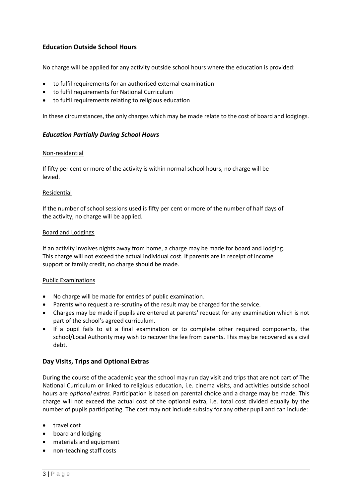# **Education Outside School Hours**

No charge will be applied for any activity outside school hours where the education is provided:

- to fulfil requirements for an authorised external examination
- to fulfil requirements for National Curriculum
- to fulfil requirements relating to religious education

In these circumstances, the only charges which may be made relate to the cost of board and lodgings.

# *Education Partially During School Hours*

#### Non-residential

If fifty per cent or more of the activity is within normal school hours, no charge will be levied.

#### Residential

If the number of school sessions used is fifty per cent or more of the number of half days of the activity, no charge will be applied.

#### Board and Lodgings

If an activity involves nights away from home, a charge may be made for board and lodging. This charge will not exceed the actual individual cost. If parents are in receipt of income support or family credit, no charge should be made.

#### Public Examinations

- No charge will be made for entries of public examination.
- Parents who request a re-scrutiny of the result may be charged for the service.
- Charges may be made if pupils are entered at parents' request for any examination which is not part of the school's agreed curriculum.
- If a pupil fails to sit a final examination or to complete other required components, the school/Local Authority may wish to recover the fee from parents. This may be recovered as a civil debt.

#### **Day Visits, Trips and Optional Extras**

During the course of the academic year the school may run day visit and trips that are not part of The National Curriculum or linked to religious education, i.e. cinema visits, and activities outside school hours are *optional extras.* Participation is based on parental choice and a charge may be made. This charge will not exceed the actual cost of the optional extra, i.e. total cost divided equally by the number of pupils participating. The cost may not include subsidy for any other pupil and can include:

- travel cost
- board and lodging
- materials and equipment
- non-teaching staff costs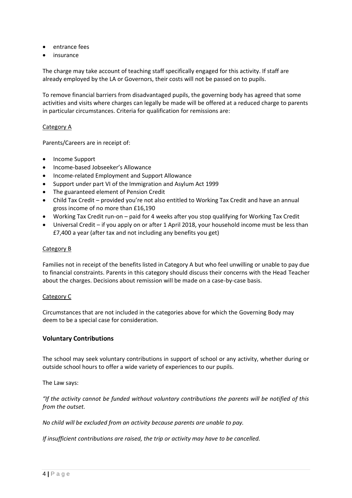- entrance fees
- insurance

The charge may take account of teaching staff specifically engaged for this activity. If staff are already employed by the LA or Governors, their costs will not be passed on to pupils.

To remove financial barriers from disadvantaged pupils, the governing body has agreed that some activities and visits where charges can legally be made will be offered at a reduced charge to parents in particular circumstances. Criteria for qualification for remissions are:

# Category A

Parents/Careers are in receipt of:

- Income Support
- Income-based Jobseeker's Allowance
- Income-related Employment and Support Allowance
- Support under part VI of the Immigration and Asylum Act 1999
- The guaranteed element of Pension Credit
- Child Tax Credit provided you're not also entitled to Working Tax Credit and have an annual gross income of no more than £16,190
- Working Tax Credit run-on paid for 4 weeks after you stop qualifying for Working Tax Credit
- Universal Credit if you apply on or after 1 April 2018, your household income must be less than £7,400 a year (after tax and not including any benefits you get)

#### Category B

Families not in receipt of the benefits listed in Category A but who feel unwilling or unable to pay due to financial constraints. Parents in this category should discuss their concerns with the Head Teacher about the charges. Decisions about remission will be made on a case-by-case basis.

#### Category C

Circumstances that are not included in the categories above for which the Governing Body may deem to be a special case for consideration.

# **Voluntary Contributions**

The school may seek voluntary contributions in support of school or any activity, whether during or outside school hours to offer a wide variety of experiences to our pupils.

The Law says:

*"If the activity cannot be funded without voluntary contributions the parents will be notified of this from the outset.*

*No child will be excluded from an activity because parents are unable to pay.*

*If insufficient contributions are raised, the trip or activity may have to be cancelled.*